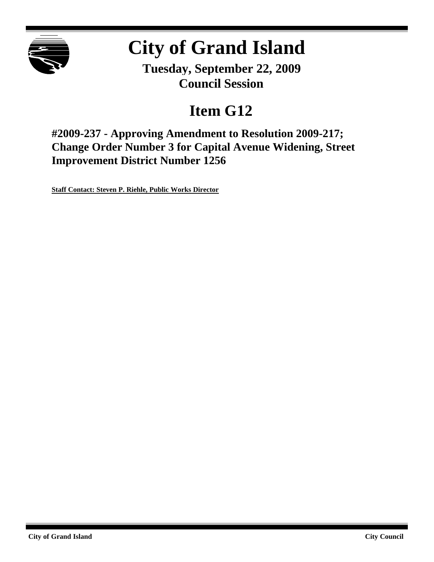

# **City of Grand Island**

**Tuesday, September 22, 2009 Council Session**

## **Item G12**

**#2009-237 - Approving Amendment to Resolution 2009-217; Change Order Number 3 for Capital Avenue Widening, Street Improvement District Number 1256**

**Staff Contact: Steven P. Riehle, Public Works Director**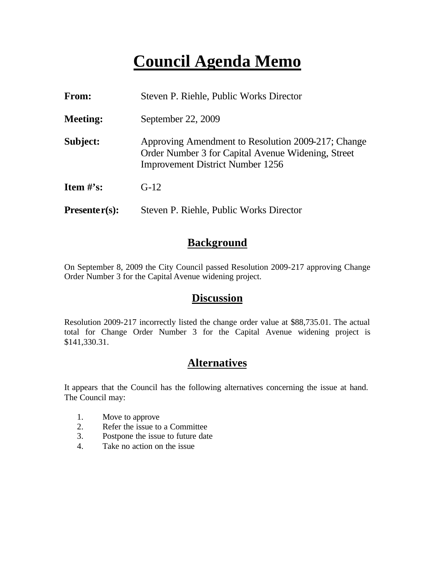### **Council Agenda Memo**

| <b>From:</b>    | Steven P. Riehle, Public Works Director                                                                                                             |
|-----------------|-----------------------------------------------------------------------------------------------------------------------------------------------------|
| <b>Meeting:</b> | September 22, 2009                                                                                                                                  |
| Subject:        | Approving Amendment to Resolution 2009-217; Change<br>Order Number 3 for Capital Avenue Widening, Street<br><b>Improvement District Number 1256</b> |
| Item $\#$ 's:   | $G-12$                                                                                                                                              |
| $Presenter(s):$ | Steven P. Riehle, Public Works Director                                                                                                             |

#### **Background**

On September 8, 2009 the City Council passed Resolution 2009-217 approving Change Order Number 3 for the Capital Avenue widening project.

#### **Discussion**

Resolution 2009-217 incorrectly listed the change order value at \$88,735.01. The actual total for Change Order Number 3 for the Capital Avenue widening project is \$141,330.31.

#### **Alternatives**

It appears that the Council has the following alternatives concerning the issue at hand. The Council may:

- 1. Move to approve
- 2. Refer the issue to a Committee
- 3. Postpone the issue to future date
- 4. Take no action on the issue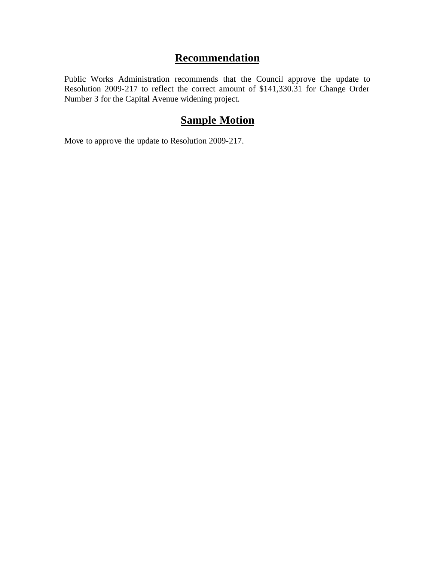### **Recommendation**

Public Works Administration recommends that the Council approve the update to Resolution 2009-217 to reflect the correct amount of \$141,330.31 for Change Order Number 3 for the Capital Avenue widening project.

### **Sample Motion**

Move to approve the update to Resolution 2009-217.